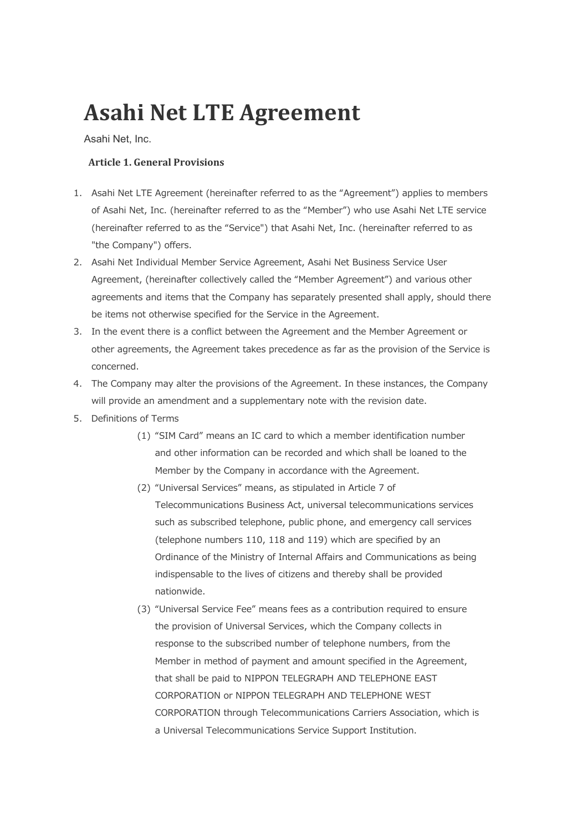# **Asahi Net LTE Agreement**

Asahi Net, Inc.

# **Article 1. General Provisions**

- 1. Asahi Net LTE Agreement (hereinafter referred to as the "Agreement") applies to members of Asahi Net, Inc. (hereinafter referred to as the "Member") who use Asahi Net LTE service (hereinafter referred to as the "Service") that Asahi Net, Inc. (hereinafter referred to as "the Company") offers.
- 2. Asahi Net Individual Member Service Agreement, Asahi Net Business Service User Agreement, (hereinafter collectively called the "Member Agreement") and various other agreements and items that the Company has separately presented shall apply, should there be items not otherwise specified for the Service in the Agreement.
- 3. In the event there is a conflict between the Agreement and the Member Agreement or other agreements, the Agreement takes precedence as far as the provision of the Service is concerned.
- 4. The Company may alter the provisions of the Agreement. In these instances, the Company will provide an amendment and a supplementary note with the revision date.
- 5. Definitions of Terms
	- (1) "SIM Card" means an IC card to which a member identification number and other information can be recorded and which shall be loaned to the Member by the Company in accordance with the Agreement.
	- (2) "Universal Services" means, as stipulated in Article 7 of Telecommunications Business Act, universal telecommunications services such as subscribed telephone, public phone, and emergency call services (telephone numbers 110, 118 and 119) which are specified by an Ordinance of the Ministry of Internal Affairs and Communications as being indispensable to the lives of citizens and thereby shall be provided nationwide.
	- (3) "Universal Service Fee" means fees as a contribution required to ensure the provision of Universal Services, which the Company collects in response to the subscribed number of telephone numbers, from the Member in method of payment and amount specified in the Agreement, that shall be paid to NIPPON TELEGRAPH AND TELEPHONE EAST CORPORATION or NIPPON TELEGRAPH AND TELEPHONE WEST CORPORATION through Telecommunications Carriers Association, which is a Universal Telecommunications Service Support Institution.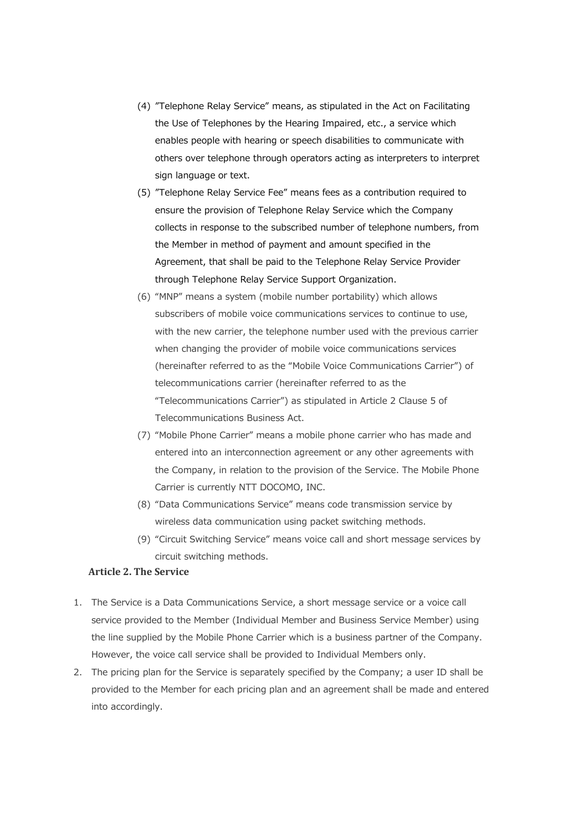- (4) "Telephone Relay Service" means, as stipulated in the Act on Facilitating the Use of Telephones by the Hearing Impaired, etc., a service which enables people with hearing or speech disabilities to communicate with others over telephone through operators acting as interpreters to interpret sign language or text.
- (5) "Telephone Relay Service Fee" means fees as a contribution required to ensure the provision of Telephone Relay Service which the Company collects in response to the subscribed number of telephone numbers, from the Member in method of payment and amount specified in the Agreement, that shall be paid to the Telephone Relay Service Provider through Telephone Relay Service Support Organization.
- (6) "MNP" means a system (mobile number portability) which allows subscribers of mobile voice communications services to continue to use, with the new carrier, the telephone number used with the previous carrier when changing the provider of mobile voice communications services (hereinafter referred to as the "Mobile Voice Communications Carrier") of telecommunications carrier (hereinafter referred to as the "Telecommunications Carrier") as stipulated in Article 2 Clause 5 of Telecommunications Business Act.
- (7) "Mobile Phone Carrier" means a mobile phone carrier who has made and entered into an interconnection agreement or any other agreements with the Company, in relation to the provision of the Service. The Mobile Phone Carrier is currently NTT DOCOMO, INC.
- (8) "Data Communications Service" means code transmission service by wireless data communication using packet switching methods.
- (9) "Circuit Switching Service" means voice call and short message services by circuit switching methods.

# **Article 2. The Service**

- 1. The Service is a Data Communications Service, a short message service or a voice call service provided to the Member (Individual Member and Business Service Member) using the line supplied by the Mobile Phone Carrier which is a business partner of the Company. However, the voice call service shall be provided to Individual Members only.
- 2. The pricing plan for the Service is separately specified by the Company; a user ID shall be provided to the Member for each pricing plan and an agreement shall be made and entered into accordingly.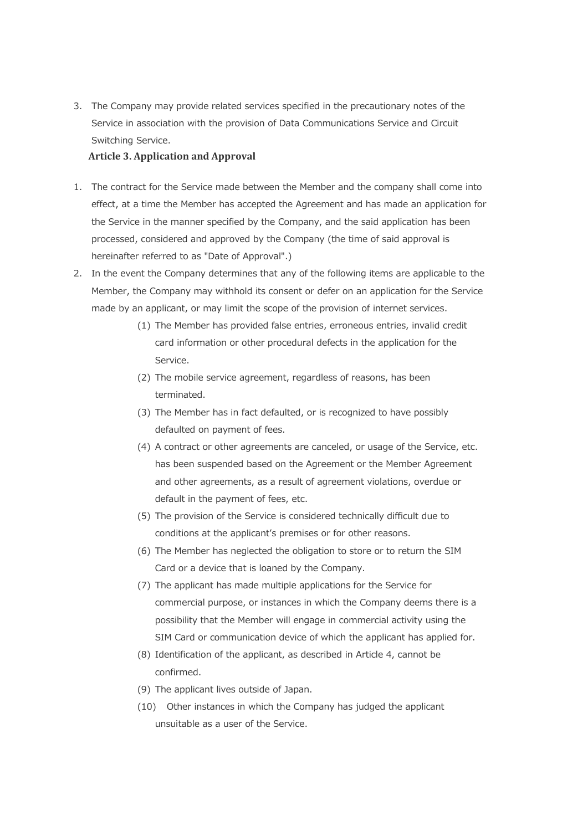3. The Company may provide related services specified in the precautionary notes of the Service in association with the provision of Data Communications Service and Circuit Switching Service.

#### **Article 3. Application and Approval**

- 1. The contract for the Service made between the Member and the company shall come into effect, at a time the Member has accepted the Agreement and has made an application for the Service in the manner specified by the Company, and the said application has been processed, considered and approved by the Company (the time of said approval is hereinafter referred to as "Date of Approval".)
- 2. In the event the Company determines that any of the following items are applicable to the Member, the Company may withhold its consent or defer on an application for the Service made by an applicant, or may limit the scope of the provision of internet services.
	- (1) The Member has provided false entries, erroneous entries, invalid credit card information or other procedural defects in the application for the Service.
	- (2) The mobile service agreement, regardless of reasons, has been terminated.
	- (3) The Member has in fact defaulted, or is recognized to have possibly defaulted on payment of fees.
	- (4) A contract or other agreements are canceled, or usage of the Service, etc. has been suspended based on the Agreement or the Member Agreement and other agreements, as a result of agreement violations, overdue or default in the payment of fees, etc.
	- (5) The provision of the Service is considered technically difficult due to conditions at the applicant's premises or for other reasons.
	- (6) The Member has neglected the obligation to store or to return the SIM Card or a device that is loaned by the Company.
	- (7) The applicant has made multiple applications for the Service for commercial purpose, or instances in which the Company deems there is a possibility that the Member will engage in commercial activity using the SIM Card or communication device of which the applicant has applied for.
	- (8) Identification of the applicant, as described in Article 4, cannot be confirmed.
	- (9) The applicant lives outside of Japan.
	- (10) Other instances in which the Company has judged the applicant unsuitable as a user of the Service.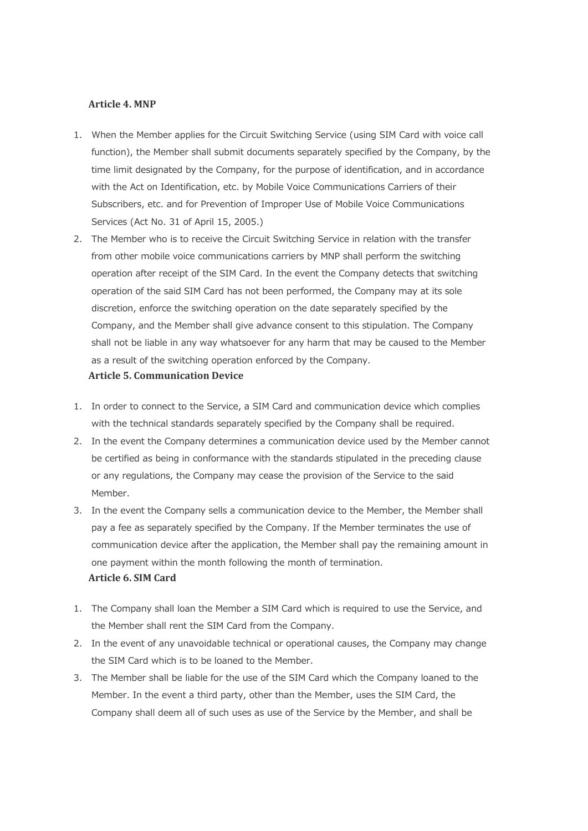### **Article 4. MNP**

- 1. When the Member applies for the Circuit Switching Service (using SIM Card with voice call function), the Member shall submit documents separately specified by the Company, by the time limit designated by the Company, for the purpose of identification, and in accordance with the Act on Identification, etc. by Mobile Voice Communications Carriers of their Subscribers, etc. and for Prevention of Improper Use of Mobile Voice Communications Services (Act No. 31 of April 15, 2005.)
- 2. The Member who is to receive the Circuit Switching Service in relation with the transfer from other mobile voice communications carriers by MNP shall perform the switching operation after receipt of the SIM Card. In the event the Company detects that switching operation of the said SIM Card has not been performed, the Company may at its sole discretion, enforce the switching operation on the date separately specified by the Company, and the Member shall give advance consent to this stipulation. The Company shall not be liable in any way whatsoever for any harm that may be caused to the Member as a result of the switching operation enforced by the Company.

#### **Article 5. Communication Device**

- 1. In order to connect to the Service, a SIM Card and communication device which complies with the technical standards separately specified by the Company shall be required.
- 2. In the event the Company determines a communication device used by the Member cannot be certified as being in conformance with the standards stipulated in the preceding clause or any regulations, the Company may cease the provision of the Service to the said Member.
- 3. In the event the Company sells a communication device to the Member, the Member shall pay a fee as separately specified by the Company. If the Member terminates the use of communication device after the application, the Member shall pay the remaining amount in one payment within the month following the month of termination. **Article 6. SIM Card**
- 1. The Company shall loan the Member a SIM Card which is required to use the Service, and the Member shall rent the SIM Card from the Company.
- 2. In the event of any unavoidable technical or operational causes, the Company may change the SIM Card which is to be loaned to the Member.
- 3. The Member shall be liable for the use of the SIM Card which the Company loaned to the Member. In the event a third party, other than the Member, uses the SIM Card, the Company shall deem all of such uses as use of the Service by the Member, and shall be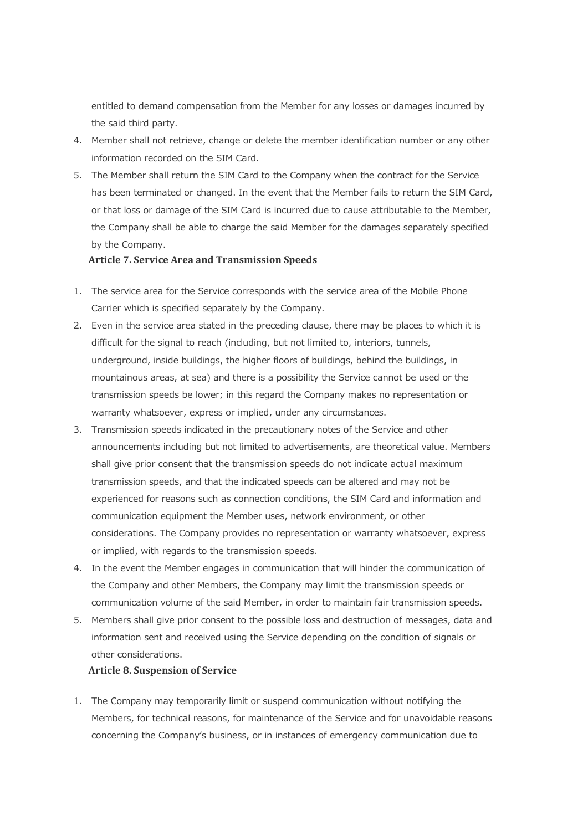entitled to demand compensation from the Member for any losses or damages incurred by the said third party.

- 4. Member shall not retrieve, change or delete the member identification number or any other information recorded on the SIM Card.
- 5. The Member shall return the SIM Card to the Company when the contract for the Service has been terminated or changed. In the event that the Member fails to return the SIM Card, or that loss or damage of the SIM Card is incurred due to cause attributable to the Member, the Company shall be able to charge the said Member for the damages separately specified by the Company.

#### **Article 7. Service Area and Transmission Speeds**

- 1. The service area for the Service corresponds with the service area of the Mobile Phone Carrier which is specified separately by the Company.
- 2. Even in the service area stated in the preceding clause, there may be places to which it is difficult for the signal to reach (including, but not limited to, interiors, tunnels, underground, inside buildings, the higher floors of buildings, behind the buildings, in mountainous areas, at sea) and there is a possibility the Service cannot be used or the transmission speeds be lower; in this regard the Company makes no representation or warranty whatsoever, express or implied, under any circumstances.
- 3. Transmission speeds indicated in the precautionary notes of the Service and other announcements including but not limited to advertisements, are theoretical value. Members shall give prior consent that the transmission speeds do not indicate actual maximum transmission speeds, and that the indicated speeds can be altered and may not be experienced for reasons such as connection conditions, the SIM Card and information and communication equipment the Member uses, network environment, or other considerations. The Company provides no representation or warranty whatsoever, express or implied, with regards to the transmission speeds.
- 4. In the event the Member engages in communication that will hinder the communication of the Company and other Members, the Company may limit the transmission speeds or communication volume of the said Member, in order to maintain fair transmission speeds.
- 5. Members shall give prior consent to the possible loss and destruction of messages, data and information sent and received using the Service depending on the condition of signals or other considerations.

#### **Article 8. Suspension of Service**

1. The Company may temporarily limit or suspend communication without notifying the Members, for technical reasons, for maintenance of the Service and for unavoidable reasons concerning the Company's business, or in instances of emergency communication due to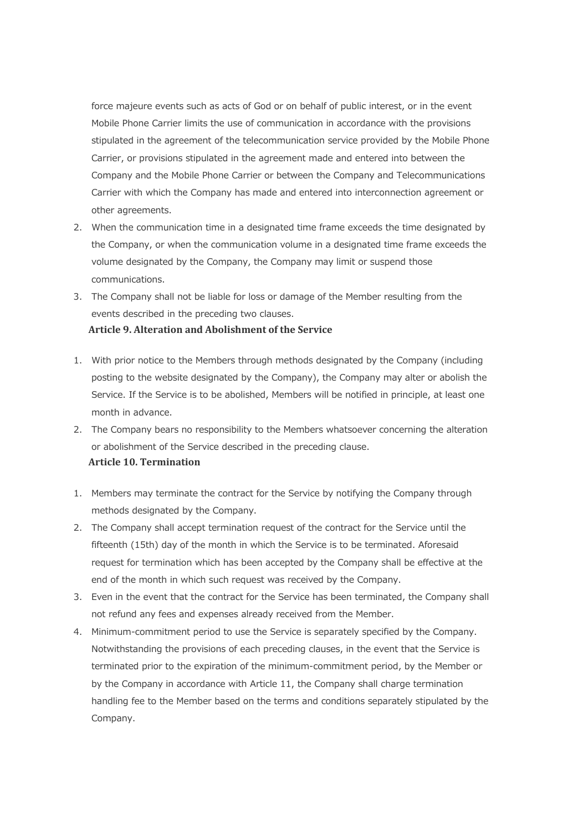force majeure events such as acts of God or on behalf of public interest, or in the event Mobile Phone Carrier limits the use of communication in accordance with the provisions stipulated in the agreement of the telecommunication service provided by the Mobile Phone Carrier, or provisions stipulated in the agreement made and entered into between the Company and the Mobile Phone Carrier or between the Company and Telecommunications Carrier with which the Company has made and entered into interconnection agreement or other agreements.

- 2. When the communication time in a designated time frame exceeds the time designated by the Company, or when the communication volume in a designated time frame exceeds the volume designated by the Company, the Company may limit or suspend those communications.
- 3. The Company shall not be liable for loss or damage of the Member resulting from the events described in the preceding two clauses. **Article 9. Alteration and Abolishment of the Service**
- 1. With prior notice to the Members through methods designated by the Company (including posting to the website designated by the Company), the Company may alter or abolish the Service. If the Service is to be abolished, Members will be notified in principle, at least one month in advance.
- 2. The Company bears no responsibility to the Members whatsoever concerning the alteration or abolishment of the Service described in the preceding clause. **Article 10. Termination**
- 1. Members may terminate the contract for the Service by notifying the Company through methods designated by the Company.
- 2. The Company shall accept termination request of the contract for the Service until the fifteenth (15th) day of the month in which the Service is to be terminated. Aforesaid request for termination which has been accepted by the Company shall be effective at the end of the month in which such request was received by the Company.
- 3. Even in the event that the contract for the Service has been terminated, the Company shall not refund any fees and expenses already received from the Member.
- 4. Minimum-commitment period to use the Service is separately specified by the Company. Notwithstanding the provisions of each preceding clauses, in the event that the Service is terminated prior to the expiration of the minimum-commitment period, by the Member or by the Company in accordance with Article 11, the Company shall charge termination handling fee to the Member based on the terms and conditions separately stipulated by the Company.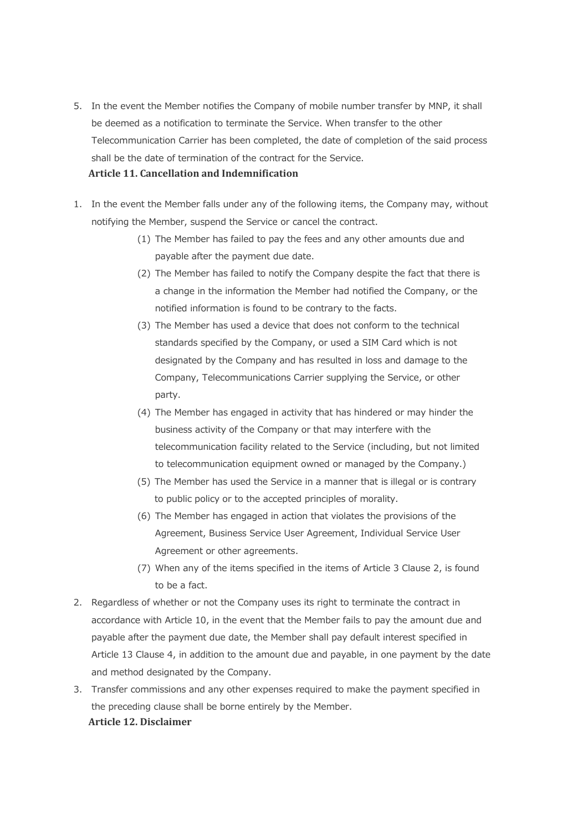- 5. In the event the Member notifies the Company of mobile number transfer by MNP, it shall be deemed as a notification to terminate the Service. When transfer to the other Telecommunication Carrier has been completed, the date of completion of the said process shall be the date of termination of the contract for the Service. **Article 11. Cancellation and Indemnification**
- 1. In the event the Member falls under any of the following items, the Company may, without notifying the Member, suspend the Service or cancel the contract.
	- (1) The Member has failed to pay the fees and any other amounts due and payable after the payment due date.
	- (2) The Member has failed to notify the Company despite the fact that there is a change in the information the Member had notified the Company, or the notified information is found to be contrary to the facts.
	- (3) The Member has used a device that does not conform to the technical standards specified by the Company, or used a SIM Card which is not designated by the Company and has resulted in loss and damage to the Company, Telecommunications Carrier supplying the Service, or other party.
	- (4) The Member has engaged in activity that has hindered or may hinder the business activity of the Company or that may interfere with the telecommunication facility related to the Service (including, but not limited to telecommunication equipment owned or managed by the Company.)
	- (5) The Member has used the Service in a manner that is illegal or is contrary to public policy or to the accepted principles of morality.
	- (6) The Member has engaged in action that violates the provisions of the Agreement, Business Service User Agreement, Individual Service User Agreement or other agreements.
	- (7) When any of the items specified in the items of Article 3 Clause 2, is found to be a fact.
- 2. Regardless of whether or not the Company uses its right to terminate the contract in accordance with Article 10, in the event that the Member fails to pay the amount due and payable after the payment due date, the Member shall pay default interest specified in Article 13 Clause 4, in addition to the amount due and payable, in one payment by the date and method designated by the Company.
- 3. Transfer commissions and any other expenses required to make the payment specified in the preceding clause shall be borne entirely by the Member. **Article 12. Disclaimer**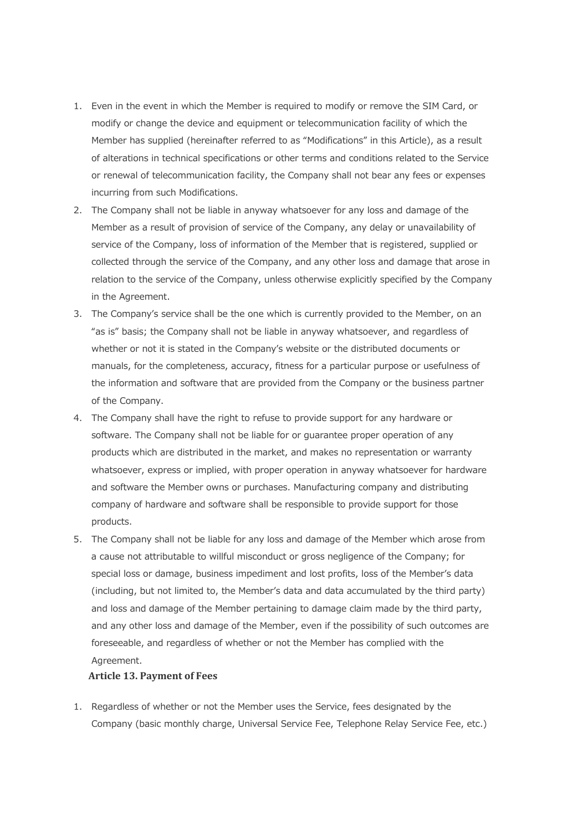- 1. Even in the event in which the Member is required to modify or remove the SIM Card, or modify or change the device and equipment or telecommunication facility of which the Member has supplied (hereinafter referred to as "Modifications" in this Article), as a result of alterations in technical specifications or other terms and conditions related to the Service or renewal of telecommunication facility, the Company shall not bear any fees or expenses incurring from such Modifications.
- 2. The Company shall not be liable in anyway whatsoever for any loss and damage of the Member as a result of provision of service of the Company, any delay or unavailability of service of the Company, loss of information of the Member that is registered, supplied or collected through the service of the Company, and any other loss and damage that arose in relation to the service of the Company, unless otherwise explicitly specified by the Company in the Agreement.
- 3. The Company's service shall be the one which is currently provided to the Member, on an "as is" basis; the Company shall not be liable in anyway whatsoever, and regardless of whether or not it is stated in the Company's website or the distributed documents or manuals, for the completeness, accuracy, fitness for a particular purpose or usefulness of the information and software that are provided from the Company or the business partner of the Company.
- 4. The Company shall have the right to refuse to provide support for any hardware or software. The Company shall not be liable for or guarantee proper operation of any products which are distributed in the market, and makes no representation or warranty whatsoever, express or implied, with proper operation in anyway whatsoever for hardware and software the Member owns or purchases. Manufacturing company and distributing company of hardware and software shall be responsible to provide support for those products.
- 5. The Company shall not be liable for any loss and damage of the Member which arose from a cause not attributable to willful misconduct or gross negligence of the Company; for special loss or damage, business impediment and lost profits, loss of the Member's data (including, but not limited to, the Member's data and data accumulated by the third party) and loss and damage of the Member pertaining to damage claim made by the third party, and any other loss and damage of the Member, even if the possibility of such outcomes are foreseeable, and regardless of whether or not the Member has complied with the Agreement.

## **Article 13. Payment of Fees**

1. Regardless of whether or not the Member uses the Service, fees designated by the Company (basic monthly charge, Universal Service Fee, Telephone Relay Service Fee, etc.)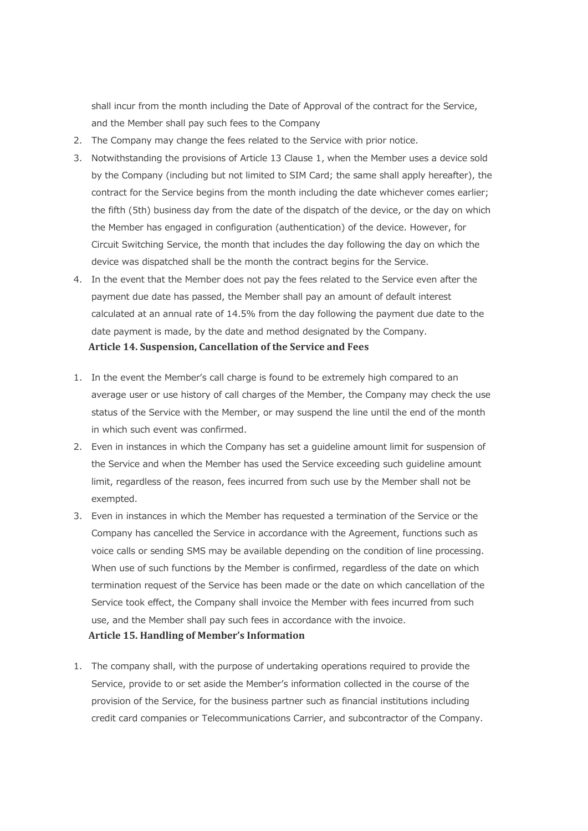shall incur from the month including the Date of Approval of the contract for the Service, and the Member shall pay such fees to the Company

- 2. The Company may change the fees related to the Service with prior notice.
- 3. Notwithstanding the provisions of Article 13 Clause 1, when the Member uses a device sold by the Company (including but not limited to SIM Card; the same shall apply hereafter), the contract for the Service begins from the month including the date whichever comes earlier; the fifth (5th) business day from the date of the dispatch of the device, or the day on which the Member has engaged in configuration (authentication) of the device. However, for Circuit Switching Service, the month that includes the day following the day on which the device was dispatched shall be the month the contract begins for the Service.
- 4. In the event that the Member does not pay the fees related to the Service even after the payment due date has passed, the Member shall pay an amount of default interest calculated at an annual rate of 14.5% from the day following the payment due date to the date payment is made, by the date and method designated by the Company. **Article 14. Suspension, Cancellation of the Service and Fees**
- 1. In the event the Member's call charge is found to be extremely high compared to an average user or use history of call charges of the Member, the Company may check the use status of the Service with the Member, or may suspend the line until the end of the month in which such event was confirmed.
- 2. Even in instances in which the Company has set a guideline amount limit for suspension of the Service and when the Member has used the Service exceeding such guideline amount limit, regardless of the reason, fees incurred from such use by the Member shall not be exempted.
- 3. Even in instances in which the Member has requested a termination of the Service or the Company has cancelled the Service in accordance with the Agreement, functions such as voice calls or sending SMS may be available depending on the condition of line processing. When use of such functions by the Member is confirmed, regardless of the date on which termination request of the Service has been made or the date on which cancellation of the Service took effect, the Company shall invoice the Member with fees incurred from such use, and the Member shall pay such fees in accordance with the invoice. **Article 15. Handling of Member's Information**
- 1. The company shall, with the purpose of undertaking operations required to provide the Service, provide to or set aside the Member's information collected in the course of the provision of the Service, for the business partner such as financial institutions including credit card companies or Telecommunications Carrier, and subcontractor of the Company.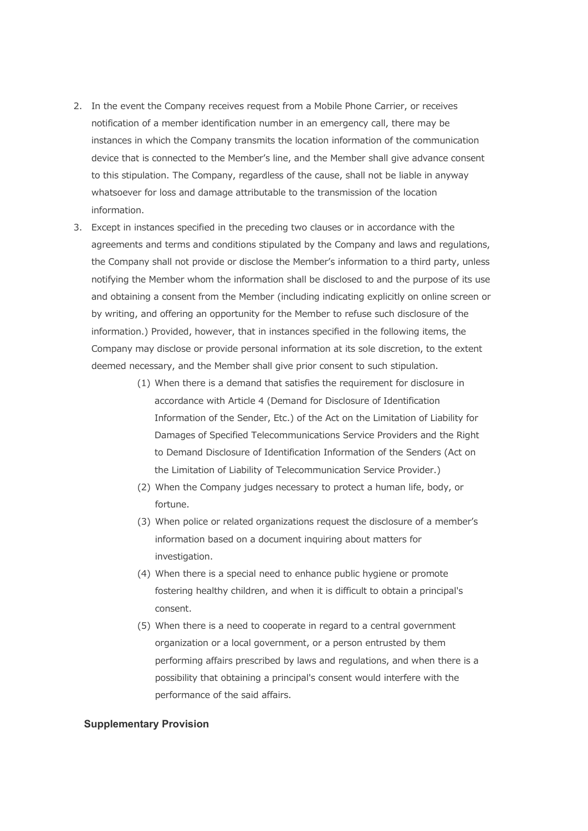- 2. In the event the Company receives request from a Mobile Phone Carrier, or receives notification of a member identification number in an emergency call, there may be instances in which the Company transmits the location information of the communication device that is connected to the Member's line, and the Member shall give advance consent to this stipulation. The Company, regardless of the cause, shall not be liable in anyway whatsoever for loss and damage attributable to the transmission of the location information.
- 3. Except in instances specified in the preceding two clauses or in accordance with the agreements and terms and conditions stipulated by the Company and laws and regulations, the Company shall not provide or disclose the Member's information to a third party, unless notifying the Member whom the information shall be disclosed to and the purpose of its use and obtaining a consent from the Member (including indicating explicitly on online screen or by writing, and offering an opportunity for the Member to refuse such disclosure of the information.) Provided, however, that in instances specified in the following items, the Company may disclose or provide personal information at its sole discretion, to the extent deemed necessary, and the Member shall give prior consent to such stipulation.
	- (1) When there is a demand that satisfies the requirement for disclosure in accordance with Article 4 (Demand for Disclosure of Identification Information of the Sender, Etc.) of the Act on the Limitation of Liability for Damages of Specified Telecommunications Service Providers and the Right to Demand Disclosure of Identification Information of the Senders (Act on the Limitation of Liability of Telecommunication Service Provider.)
	- (2) When the Company judges necessary to protect a human life, body, or fortune.
	- (3) When police or related organizations request the disclosure of a member's information based on a document inquiring about matters for investigation.
	- (4) When there is a special need to enhance public hygiene or promote fostering healthy children, and when it is difficult to obtain a principal's consent.
	- (5) When there is a need to cooperate in regard to a central government organization or a local government, or a person entrusted by them performing affairs prescribed by laws and regulations, and when there is a possibility that obtaining a principal's consent would interfere with the performance of the said affairs.

#### **Supplementary Provision**